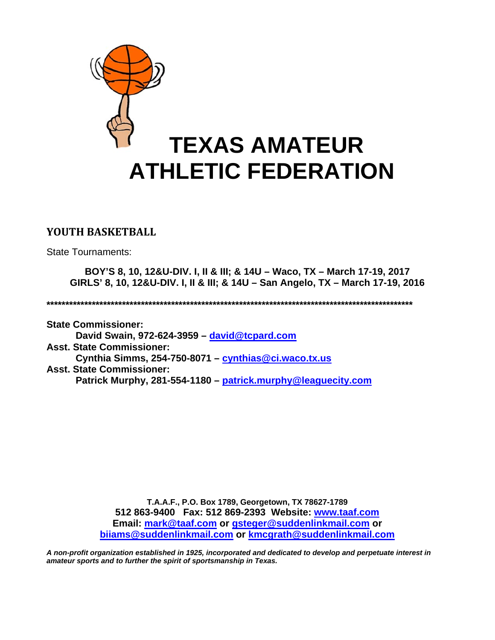

# **YOUTH BASKETBALL**

State Tournaments:

**BOY'S 8, 10, 12&U-DIV. I, II & III; & 14U – Waco, TX – March 17-19, 2017 GIRLS' 8, 10, 12&U-DIV. I, II & III; & 14U – San Angelo, TX – March 17-19, 2016** 

**\*\*\*\*\*\*\*\*\*\*\*\*\*\*\*\*\*\*\*\*\*\*\*\*\*\*\*\*\*\*\*\*\*\*\*\*\*\*\*\*\*\*\*\*\*\*\*\*\*\*\*\*\*\*\*\*\*\*\*\*\*\*\*\*\*\*\*\*\*\*\*\*\*\*\*\*\*\*\*\*\*\*\*\*\*\*\*\*\*\*\*\*\*\*\*\*\*** 

**State Commissioner: David Swain, 972-624-3959 – david@tcpard.com Asst. State Commissioner: Cynthia Simms, 254-750-8071 – cynthias@ci.waco.tx.us Asst. State Commissioner: Patrick Murphy, 281-554-1180 – patrick.murphy@leaguecity.com** 

> **T.A.A.F., P.O. Box 1789, Georgetown, TX 78627-1789 512 863-9400 Fax: 512 869-2393 Website: www.taaf.com Email: mark@taaf.com or gsteger@suddenlinkmail.com or biiams@suddenlinkmail.com or kmcgrath@suddenlinkmail.com**

*A non-profit organization established in 1925, incorporated and dedicated to develop and perpetuate interest in amateur sports and to further the spirit of sportsmanship in Texas.*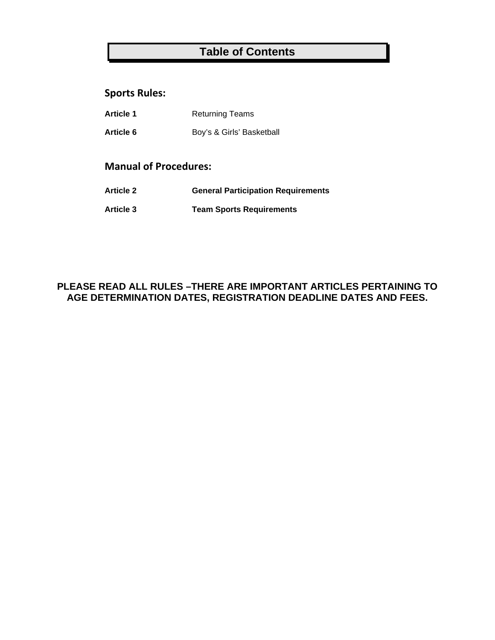# **Table of Contents**

## **Sports Rules:**

| <b>Article 1</b> | <b>Returning Teams</b> |
|------------------|------------------------|
|                  |                        |

Article 6 **Boy's & Girls' Basketball** 

# **Manual of Procedures:**

- **Article 2 General Participation Requirements**
- **Article 3 Team Sports Requirements**

# **PLEASE READ ALL RULES –THERE ARE IMPORTANT ARTICLES PERTAINING TO AGE DETERMINATION DATES, REGISTRATION DEADLINE DATES AND FEES.**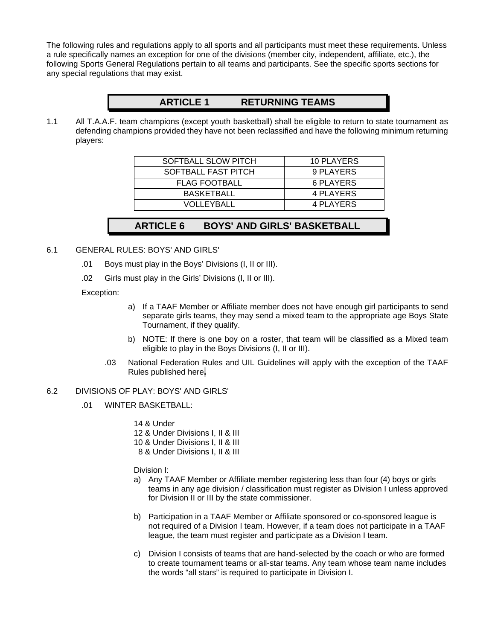The following rules and regulations apply to all sports and all participants must meet these requirements. Unless a rule specifically names an exception for one of the divisions (member city, independent, affiliate, etc.), the following Sports General Regulations pertain to all teams and participants. See the specific sports sections for any special regulations that may exist.

# **ARTICLE 1 RETURNING TEAMS**

1.1 All T.A.A.F. team champions (except youth basketball) shall be eligible to return to state tournament as defending champions provided they have not been reclassified and have the following minimum returning players:

| SOFTBALL SLOW PITCH  | 10 PLAYERS |
|----------------------|------------|
| SOFTBALL FAST PITCH  | 9 PLAYERS  |
| <b>FLAG FOOTBALL</b> | 6 PLAYERS  |
| <b>BASKETBALL</b>    | 4 PLAYERS  |
| VOLLEYBALL           | 4 PLAYERS  |

# **ARTICLE 6 BOYS' AND GIRLS' BASKETBALL**

## 6.1 GENERAL RULES: BOYS' AND GIRLS'

- .01 Boys must play in the Boys' Divisions (I, II or III).
- .02 Girls must play in the Girls' Divisions (I, II or III).

## Exception:

- a) If a TAAF Member or Affiliate member does not have enough girl participants to send separate girls teams, they may send a mixed team to the appropriate age Boys State Tournament, if they qualify.
- b) NOTE: If there is one boy on a roster, that team will be classified as a Mixed team eligible to play in the Boys Divisions (I, II or III).
- .03 National Federation Rules and UIL Guidelines will apply with the exception of the TAAF Rules published here**.**

## 6.2 DIVISIONS OF PLAY: BOYS' AND GIRLS'

.01 WINTER BASKETBALL:

14 & Under

- 12 & Under Divisions I, II & III
- 10 & Under Divisions I, II & III
- 8 & Under Divisions I, II & III

Division I:

- a) Any TAAF Member or Affiliate member registering less than four (4) boys or girls teams in any age division / classification must register as Division I unless approved for Division II or III by the state commissioner.
- b) Participation in a TAAF Member or Affiliate sponsored or co-sponsored league is not required of a Division I team. However, if a team does not participate in a TAAF league, the team must register and participate as a Division I team.
- c) Division I consists of teams that are hand-selected by the coach or who are formed to create tournament teams or all-star teams. Any team whose team name includes the words "all stars" is required to participate in Division I.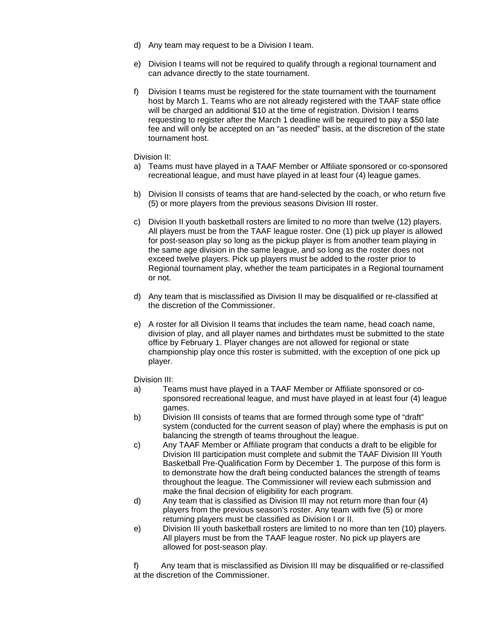- d) Any team may request to be a Division I team.
- e) Division I teams will not be required to qualify through a regional tournament and can advance directly to the state tournament.
- f) Division I teams must be registered for the state tournament with the tournament host by March 1. Teams who are not already registered with the TAAF state office will be charged an additional \$10 at the time of registration. Division I teams requesting to register after the March 1 deadline will be required to pay a \$50 late fee and will only be accepted on an "as needed" basis, at the discretion of the state tournament host.

#### Division II:

- a) Teams must have played in a TAAF Member or Affiliate sponsored or co-sponsored recreational league, and must have played in at least four (4) league games.
- b) Division II consists of teams that are hand-selected by the coach, or who return five (5) or more players from the previous seasons Division III roster.
- c) Division II youth basketball rosters are limited to no more than twelve (12) players. All players must be from the TAAF league roster. One (1) pick up player is allowed for post-season play so long as the pickup player is from another team playing in the same age division in the same league, and so long as the roster does not exceed twelve players. Pick up players must be added to the roster prior to Regional tournament play, whether the team participates in a Regional tournament or not.
- d) Any team that is misclassified as Division II may be disqualified or re-classified at the discretion of the Commissioner.
- e) A roster for all Division II teams that includes the team name, head coach name, division of play, and all player names and birthdates must be submitted to the state office by February 1. Player changes are not allowed for regional or state championship play once this roster is submitted, with the exception of one pick up player.

Division III:

- a) Teams must have played in a TAAF Member or Affiliate sponsored or cosponsored recreational league, and must have played in at least four (4) league games.
- b) Division III consists of teams that are formed through some type of "draft" system (conducted for the current season of play) where the emphasis is put on balancing the strength of teams throughout the league.
- c) Any TAAF Member or Affiliate program that conducts a draft to be eligible for Division III participation must complete and submit the TAAF Division III Youth Basketball Pre-Qualification Form by December 1. The purpose of this form is to demonstrate how the draft being conducted balances the strength of teams throughout the league. The Commissioner will review each submission and make the final decision of eligibility for each program.
- d) Any team that is classified as Division III may not return more than four (4) players from the previous season's roster. Any team with five (5) or more returning players must be classified as Division I or II.
- e) Division III youth basketball rosters are limited to no more than ten (10) players. All players must be from the TAAF league roster. No pick up players are allowed for post-season play.

f) Any team that is misclassified as Division III may be disqualified or re-classified at the discretion of the Commissioner.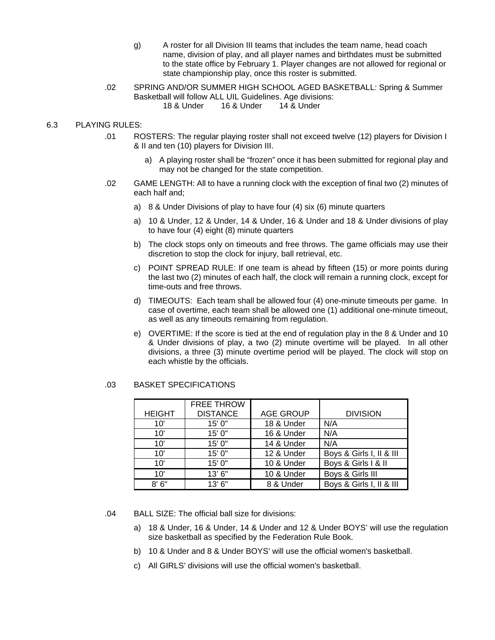- g) A roster for all Division III teams that includes the team name, head coach name, division of play, and all player names and birthdates must be submitted to the state office by February 1. Player changes are not allowed for regional or state championship play, once this roster is submitted.
- .02 SPRING AND/OR SUMMER HIGH SCHOOL AGED BASKETBALL: Spring & Summer Basketball will follow ALL UIL Guidelines. Age divisions: 18 & Under 16 & Under 14 & Under

#### 6.3 PLAYING RULES:

- .01 ROSTERS: The regular playing roster shall not exceed twelve (12) players for Division I & II and ten (10) players for Division III.
	- a) A playing roster shall be "frozen" once it has been submitted for regional play and may not be changed for the state competition.
- .02 GAME LENGTH: All to have a running clock with the exception of final two (2) minutes of each half and;
	- a) 8 & Under Divisions of play to have four (4) six (6) minute quarters
	- a) 10 & Under, 12 & Under, 14 & Under, 16 & Under and 18 & Under divisions of play to have four (4) eight (8) minute quarters
	- b) The clock stops only on timeouts and free throws. The game officials may use their discretion to stop the clock for injury, ball retrieval, etc.
	- c) POINT SPREAD RULE: If one team is ahead by fifteen (15) or more points during the last two (2) minutes of each half, the clock will remain a running clock, except for time-outs and free throws.
	- d) TIMEOUTS: Each team shall be allowed four (4) one-minute timeouts per game. In case of overtime, each team shall be allowed one (1) additional one-minute timeout, as well as any timeouts remaining from regulation.
	- e) OVERTIME: If the score is tied at the end of regulation play in the 8 & Under and 10 & Under divisions of play, a two (2) minute overtime will be played. In all other divisions, a three (3) minute overtime period will be played. The clock will stop on each whistle by the officials.

#### .03 BASKET SPECIFICATIONS

|               | <b>FREE THROW</b> |                  |                          |
|---------------|-------------------|------------------|--------------------------|
| <b>HEIGHT</b> | <b>DISTANCE</b>   | <b>AGE GROUP</b> | <b>DIVISION</b>          |
| 10'           | 15' 0"            | 18 & Under       | N/A                      |
| 10'           | 15' 0"            | 16 & Under       | N/A                      |
| 10'           | 15' 0"            | 14 & Under       | N/A                      |
| 10'           | 15' 0"            | 12 & Under       | Boys & Girls I, II & III |
| 10'           | 15' 0"            | 10 & Under       | Boys & Girls I & II      |
| 10'           | 13'6''            | 10 & Under       | Boys & Girls III         |
| 8'6''         | 13'6''            | 8 & Under        | Boys & Girls I, II & III |

.04 BALL SIZE: The official ball size for divisions:

- a) 18 & Under, 16 & Under, 14 & Under and 12 & Under BOYS' will use the regulation size basketball as specified by the Federation Rule Book.
- b) 10 & Under and 8 & Under BOYS' will use the official women's basketball.
- c) All GIRLS' divisions will use the official women's basketball.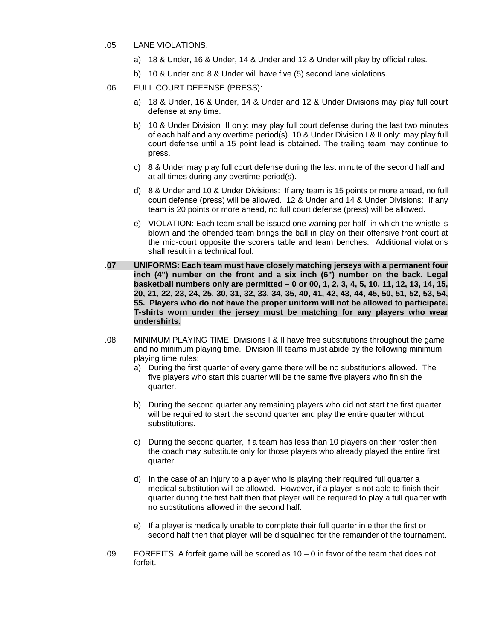- .05 LANE VIOLATIONS:
	- a) 18 & Under, 16 & Under, 14 & Under and 12 & Under will play by official rules.
	- b) 10 & Under and 8 & Under will have five (5) second lane violations.
- .06 FULL COURT DEFENSE (PRESS):
	- a) 18 & Under, 16 & Under, 14 & Under and 12 & Under Divisions may play full court defense at any time.
	- b) 10 & Under Division III only: may play full court defense during the last two minutes of each half and any overtime period(s). 10 & Under Division I & II only: may play full court defense until a 15 point lead is obtained. The trailing team may continue to press.
	- c) 8 & Under may play full court defense during the last minute of the second half and at all times during any overtime period(s).
	- d) 8 & Under and 10 & Under Divisions: If any team is 15 points or more ahead, no full court defense (press) will be allowed. 12 & Under and 14 & Under Divisions: If any team is 20 points or more ahead, no full court defense (press) will be allowed.
	- e) VIOLATION: Each team shall be issued one warning per half, in which the whistle is blown and the offended team brings the ball in play on their offensive front court at the mid-court opposite the scorers table and team benches. Additional violations shall result in a technical foul.
- .**07 UNIFORMS: Each team must have closely matching jerseys with a permanent four inch (4") number on the front and a six inch (6") number on the back. Legal basketball numbers only are permitted – 0 or 00, 1, 2, 3, 4, 5, 10, 11, 12, 13, 14, 15, 20, 21, 22, 23, 24, 25, 30, 31, 32, 33, 34, 35, 40, 41, 42, 43, 44, 45, 50, 51, 52, 53, 54, 55. Players who do not have the proper uniform will not be allowed to participate. T-shirts worn under the jersey must be matching for any players who wear undershirts.**
- .08 MINIMUM PLAYING TIME: Divisions I & II have free substitutions throughout the game and no minimum playing time. Division III teams must abide by the following minimum playing time rules:
	- a) During the first quarter of every game there will be no substitutions allowed. The five players who start this quarter will be the same five players who finish the quarter.
	- b) During the second quarter any remaining players who did not start the first quarter will be required to start the second quarter and play the entire quarter without substitutions.
	- c) During the second quarter, if a team has less than 10 players on their roster then the coach may substitute only for those players who already played the entire first quarter.
	- d) In the case of an injury to a player who is playing their required full quarter a medical substitution will be allowed. However, if a player is not able to finish their quarter during the first half then that player will be required to play a full quarter with no substitutions allowed in the second half.
	- e) If a player is medically unable to complete their full quarter in either the first or second half then that player will be disqualified for the remainder of the tournament.
- .09 FORFEITS: A forfeit game will be scored as 10 0 in favor of the team that does not forfeit.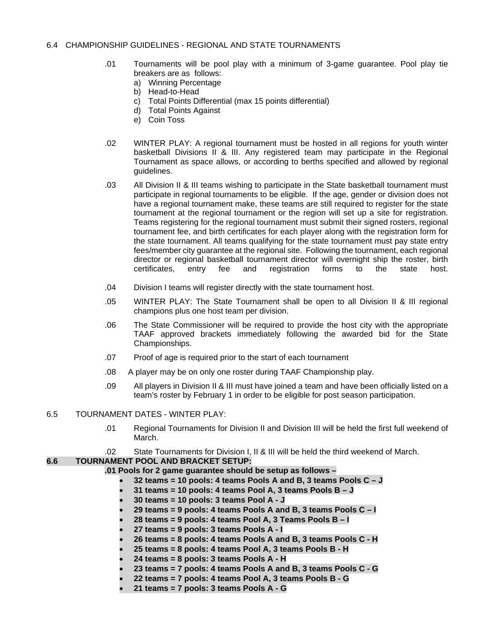## 6.4 CHAMPIONSHIP GUIDELINES - REGIONAL AND STATE TOURNAMENTS

- .01 Tournaments will be pool play with a minimum of 3-game guarantee. Pool play tie breakers are as follows:
	- a) Winning Percentage
	- b) Head-to-Head
	- c) Total Points Differential (max 15 points differential)
	- d) Total Points Against
	- e) Coin Toss
- .02 WINTER PLAY: A regional tournament must be hosted in all regions for youth winter basketball Divisions II & III. Any registered team may participate in the Regional Tournament as space allows, or according to berths specified and allowed by regional guidelines.
- .03 All Division II & III teams wishing to participate in the State basketball tournament must participate in regional tournaments to be eligible. If the age, gender or division does not have a regional tournament make, these teams are still required to register for the state tournament at the regional tournament or the region will set up a site for registration. Teams registering for the regional tournament must submit their signed rosters, regional tournament fee, and birth certificates for each player along with the registration form for the state tournament. All teams qualifying for the state tournament must pay state entry fees/member city guarantee at the regional site. Following the tournament, each regional director or regional basketball tournament director will overnight ship the roster, birth certificates, entry fee and registration forms to the state host.
- .04 Division I teams will register directly with the state tournament host.
- .05 WINTER PLAY: The State Tournament shall be open to all Division II & III regional champions plus one host team per division.
- .06 The State Commissioner will be required to provide the host city with the appropriate TAAF approved brackets immediately following the awarded bid for the State Championships.
- .07 Proof of age is required prior to the start of each tournament
- .08 A player may be on only one roster during TAAF Championship play.
- .09 All players in Division II & III must have joined a team and have been officially listed on a team's roster by February 1 in order to be eligible for post season participation.

## 6.5 TOURNAMENT DATES - WINTER PLAY:

- .01 Regional Tournaments for Division II and Division III will be held the first full weekend of March.
- .02 State Tournaments for Division I, II & III will be held the third weekend of March.

## **6.6 TOURNAMENT POOL AND BRACKET SETUP:**

- **.01 Pools for 2 game guarantee should be setup as follows** 
	- **32 teams = 10 pools: 4 teams Pools A and B, 3 teams Pools C J**
	- **31 teams = 10 pools: 4 teams Pool A, 3 teams Pools B J**
	- **30 teams = 10 pools: 3 teams Pool A J**
	- **29 teams = 9 pools: 4 teams Pools A and B, 3 teams Pools C I**
	- **28 teams = 9 pools: 4 teams Pool A, 3 Teams Pools B I**
	- **27 teams = 9 pools: 3 teams Pools A I**
	- **26 teams = 8 pools: 4 teams Pools A and B, 3 teams Pools C H**
	- **25 teams = 8 pools: 4 teams Pool A, 3 teams Pools B H**
	- **24 teams = 8 pools: 3 teams Pools A H**
	- **23 teams = 7 pools: 4 teams Pools A and B, 3 teams Pools C G**
	- **22 teams = 7 pools: 4 teams Pool A, 3 teams Pools B G**
	- **21 teams = 7 pools: 3 teams Pools A G**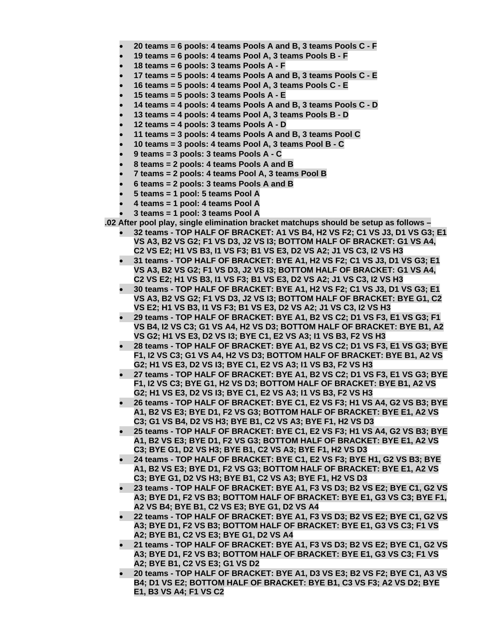- **20 teams = 6 pools: 4 teams Pools A and B, 3 teams Pools C F**
- **19 teams = 6 pools: 4 teams Pool A, 3 teams Pools B F**
- **18 teams = 6 pools: 3 teams Pools A F**
- **17 teams = 5 pools: 4 teams Pools A and B, 3 teams Pools C E**
- **16 teams = 5 pools: 4 teams Pool A, 3 teams Pools C E**
- **15 teams = 5 pools: 3 teams Pools A E**
- **14 teams = 4 pools: 4 teams Pools A and B, 3 teams Pools C D**
- **13 teams = 4 pools: 4 teams Pool A, 3 teams Pools B D**
- **12 teams = 4 pools: 3 teams Pools A D**
- **11 teams = 3 pools: 4 teams Pools A and B, 3 teams Pool C**
- **10 teams = 3 pools: 4 teams Pool A, 3 teams Pool B C**
- **9 teams = 3 pools: 3 teams Pools A C**
- **8 teams = 2 pools: 4 teams Pools A and B**
- **7 teams = 2 pools: 4 teams Pool A, 3 teams Pool B**
- **6 teams = 2 pools: 3 teams Pools A and B**
- **5 teams = 1 pool: 5 teams Pool A**
- **4 teams = 1 pool: 4 teams Pool A**
- **3 teams = 1 pool: 3 teams Pool A**

**.02 After pool play, single elimination bracket matchups should be setup as follows –** 

- **32 teams TOP HALF OF BRACKET: A1 VS B4, H2 VS F2; C1 VS J3, D1 VS G3; E1 VS A3, B2 VS G2; F1 VS D3, J2 VS I3; BOTTOM HALF OF BRACKET: G1 VS A4, C2 VS E2; H1 VS B3, I1 VS F3; B1 VS E3, D2 VS A2; J1 VS C3, I2 VS H3**
- **31 teams TOP HALF OF BRACKET: BYE A1, H2 VS F2; C1 VS J3, D1 VS G3; E1 VS A3, B2 VS G2; F1 VS D3, J2 VS I3; BOTTOM HALF OF BRACKET: G1 VS A4, C2 VS E2; H1 VS B3, I1 VS F3; B1 VS E3, D2 VS A2; J1 VS C3, I2 VS H3**
- **30 teams TOP HALF OF BRACKET: BYE A1, H2 VS F2; C1 VS J3, D1 VS G3; E1 VS A3, B2 VS G2; F1 VS D3, J2 VS I3; BOTTOM HALF OF BRACKET: BYE G1, C2 VS E2; H1 VS B3, I1 VS F3; B1 VS E3, D2 VS A2; J1 VS C3, I2 VS H3**
- **29 teams TOP HALF OF BRACKET: BYE A1, B2 VS C2; D1 VS F3, E1 VS G3; F1 VS B4, I2 VS C3; G1 VS A4, H2 VS D3; BOTTOM HALF OF BRACKET: BYE B1, A2 VS G2; H1 VS E3, D2 VS I3; BYE C1, E2 VS A3; I1 VS B3, F2 VS H3**
- **28 teams TOP HALF OF BRACKET: BYE A1, B2 VS C2; D1 VS F3, E1 VS G3; BYE F1, I2 VS C3; G1 VS A4, H2 VS D3; BOTTOM HALF OF BRACKET: BYE B1, A2 VS G2; H1 VS E3, D2 VS I3; BYE C1, E2 VS A3; I1 VS B3, F2 VS H3**
- **27 teams TOP HALF OF BRACKET: BYE A1, B2 VS C2; D1 VS F3, E1 VS G3; BYE F1, I2 VS C3; BYE G1, H2 VS D3; BOTTOM HALF OF BRACKET: BYE B1, A2 VS G2; H1 VS E3, D2 VS I3; BYE C1, E2 VS A3; I1 VS B3, F2 VS H3**
- **26 teams TOP HALF OF BRACKET: BYE C1, E2 VS F3; H1 VS A4, G2 VS B3; BYE A1, B2 VS E3; BYE D1, F2 VS G3; BOTTOM HALF OF BRACKET: BYE E1, A2 VS C3; G1 VS B4, D2 VS H3; BYE B1, C2 VS A3; BYE F1, H2 VS D3**
- **25 teams TOP HALF OF BRACKET: BYE C1, E2 VS F3; H1 VS A4, G2 VS B3; BYE A1, B2 VS E3; BYE D1, F2 VS G3; BOTTOM HALF OF BRACKET: BYE E1, A2 VS C3; BYE G1, D2 VS H3; BYE B1, C2 VS A3; BYE F1, H2 VS D3**
- **24 teams TOP HALF OF BRACKET: BYE C1, E2 VS F3; BYE H1, G2 VS B3; BYE A1, B2 VS E3; BYE D1, F2 VS G3; BOTTOM HALF OF BRACKET: BYE E1, A2 VS C3; BYE G1, D2 VS H3; BYE B1, C2 VS A3; BYE F1, H2 VS D3**
- **23 teams TOP HALF OF BRACKET: BYE A1, F3 VS D3; B2 VS E2; BYE C1, G2 VS A3; BYE D1, F2 VS B3; BOTTOM HALF OF BRACKET: BYE E1, G3 VS C3; BYE F1, A2 VS B4; BYE B1, C2 VS E3; BYE G1, D2 VS A4**
- **22 teams TOP HALF OF BRACKET: BYE A1, F3 VS D3; B2 VS E2; BYE C1, G2 VS A3; BYE D1, F2 VS B3; BOTTOM HALF OF BRACKET: BYE E1, G3 VS C3; F1 VS A2; BYE B1, C2 VS E3; BYE G1, D2 VS A4**
- **21 teams TOP HALF OF BRACKET: BYE A1, F3 VS D3; B2 VS E2; BYE C1, G2 VS A3; BYE D1, F2 VS B3; BOTTOM HALF OF BRACKET: BYE E1, G3 VS C3; F1 VS A2; BYE B1, C2 VS E3; G1 VS D2**
- **20 teams TOP HALF OF BRACKET: BYE A1, D3 VS E3; B2 VS F2; BYE C1, A3 VS B4; D1 VS E2; BOTTOM HALF OF BRACKET: BYE B1, C3 VS F3; A2 VS D2; BYE E1, B3 VS A4; F1 VS C2**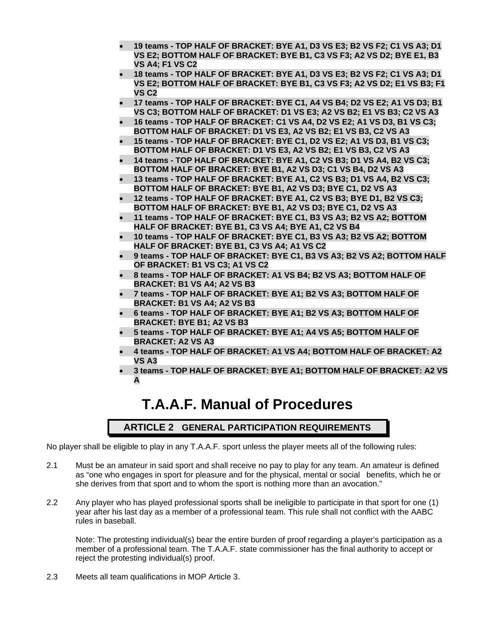- **19 teams TOP HALF OF BRACKET: BYE A1, D3 VS E3; B2 VS F2; C1 VS A3; D1 VS E2; BOTTOM HALF OF BRACKET: BYE B1, C3 VS F3; A2 VS D2; BYE E1, B3 VS A4; F1 VS C2**
- **18 teams TOP HALF OF BRACKET: BYE A1, D3 VS E3; B2 VS F2; C1 VS A3; D1 VS E2; BOTTOM HALF OF BRACKET: BYE B1, C3 VS F3; A2 VS D2; E1 VS B3; F1 VS C2**
- **17 teams TOP HALF OF BRACKET: BYE C1, A4 VS B4; D2 VS E2; A1 VS D3; B1 VS C3; BOTTOM HALF OF BRACKET: D1 VS E3; A2 VS B2; E1 VS B3; C2 VS A3**
- **16 teams TOP HALF OF BRACKET: C1 VS A4, D2 VS E2; A1 VS D3, B1 VS C3; BOTTOM HALF OF BRACKET: D1 VS E3, A2 VS B2; E1 VS B3, C2 VS A3**
- **15 teams TOP HALF OF BRACKET: BYE C1, D2 VS E2; A1 VS D3, B1 VS C3; BOTTOM HALF OF BRACKET: D1 VS E3, A2 VS B2; E1 VS B3, C2 VS A3**
- **14 teams TOP HALF OF BRACKET: BYE A1, C2 VS B3; D1 VS A4, B2 VS C3; BOTTOM HALF OF BRACKET: BYE B1, A2 VS D3; C1 VS B4, D2 VS A3**
- **13 teams TOP HALF OF BRACKET: BYE A1, C2 VS B3; D1 VS A4, B2 VS C3; BOTTOM HALF OF BRACKET: BYE B1, A2 VS D3; BYE C1, D2 VS A3**
- **12 teams TOP HALF OF BRACKET: BYE A1, C2 VS B3; BYE D1, B2 VS C3; BOTTOM HALF OF BRACKET: BYE B1, A2 VS D3; BYE C1, D2 VS A3**
- **11 teams TOP HALF OF BRACKET: BYE C1, B3 VS A3; B2 VS A2; BOTTOM HALF OF BRACKET: BYE B1, C3 VS A4; BYE A1, C2 VS B4**
- **10 teams TOP HALF OF BRACKET: BYE C1, B3 VS A3; B2 VS A2; BOTTOM HALF OF BRACKET: BYE B1, C3 VS A4; A1 VS C2**
- **9 teams TOP HALF OF BRACKET: BYE C1, B3 VS A3; B2 VS A2; BOTTOM HALF OF BRACKET: B1 VS C3; A1 VS C2**
- **8 teams TOP HALF OF BRACKET: A1 VS B4; B2 VS A3; BOTTOM HALF OF BRACKET: B1 VS A4; A2 VS B3**
- **7 teams TOP HALF OF BRACKET: BYE A1; B2 VS A3; BOTTOM HALF OF BRACKET: B1 VS A4; A2 VS B3**
- **6 teams TOP HALF OF BRACKET: BYE A1; B2 VS A3; BOTTOM HALF OF BRACKET: BYE B1; A2 VS B3**
- **5 teams TOP HALF OF BRACKET: BYE A1; A4 VS A5; BOTTOM HALF OF BRACKET: A2 VS A3**
- **4 teams TOP HALF OF BRACKET: A1 VS A4; BOTTOM HALF OF BRACKET: A2 VS A3**
- **3 teams TOP HALF OF BRACKET: BYE A1; BOTTOM HALF OF BRACKET: A2 VS A**

# **T.A.A.F. Manual of Procedures**

# **ARTICLE 2 GENERAL PARTICIPATION REQUIREMENTS**

No player shall be eligible to play in any T.A.A.F. sport unless the player meets all of the following rules:

- 2.1 Must be an amateur in said sport and shall receive no pay to play for any team. An amateur is defined as "one who engages in sport for pleasure and for the physical, mental or social benefits, which he or she derives from that sport and to whom the sport is nothing more than an avocation."
- 2.2 Any player who has played professional sports shall be ineligible to participate in that sport for one (1) year after his last day as a member of a professional team. This rule shall not conflict with the AABC rules in baseball.

Note: The protesting individual(s) bear the entire burden of proof regarding a player's participation as a member of a professional team. The T.A.A.F. state commissioner has the final authority to accept or reject the protesting individual(s) proof.

2.3 Meets all team qualifications in MOP Article 3.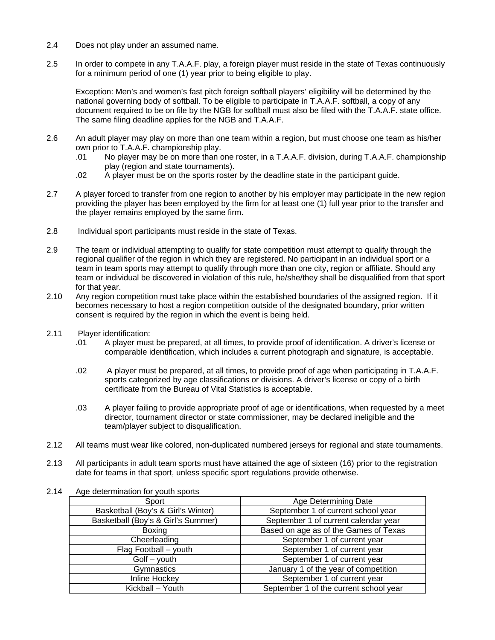- 2.4 Does not play under an assumed name.
- 2.5 In order to compete in any T.A.A.F. play, a foreign player must reside in the state of Texas continuously for a minimum period of one (1) year prior to being eligible to play.

Exception: Men's and women's fast pitch foreign softball players' eligibility will be determined by the national governing body of softball. To be eligible to participate in T.A.A.F. softball, a copy of any document required to be on file by the NGB for softball must also be filed with the T.A.A.F. state office. The same filing deadline applies for the NGB and T.A.A.F.

- 2.6 An adult player may play on more than one team within a region, but must choose one team as his/her own prior to T.A.A.F. championship play.
	- .01 No player may be on more than one roster, in a T.A.A.F. division, during T.A.A.F. championship play (region and state tournaments).
	- .02 A player must be on the sports roster by the deadline state in the participant guide.
- 2.7 A player forced to transfer from one region to another by his employer may participate in the new region providing the player has been employed by the firm for at least one (1) full year prior to the transfer and the player remains employed by the same firm.
- 2.8 Individual sport participants must reside in the state of Texas.
- 2.9 The team or individual attempting to qualify for state competition must attempt to qualify through the regional qualifier of the region in which they are registered. No participant in an individual sport or a team in team sports may attempt to qualify through more than one city, region or affiliate. Should any team or individual be discovered in violation of this rule, he/she/they shall be disqualified from that sport for that year.
- 2.10 Any region competition must take place within the established boundaries of the assigned region. If it becomes necessary to host a region competition outside of the designated boundary, prior written consent is required by the region in which the event is being held.
- 2.11 Player identification:
	- .01 A player must be prepared, at all times, to provide proof of identification. A driver's license or comparable identification, which includes a current photograph and signature, is acceptable.
	- .02 A player must be prepared, at all times, to provide proof of age when participating in T.A.A.F. sports categorized by age classifications or divisions. A driver's license or copy of a birth certificate from the Bureau of Vital Statistics is acceptable.
	- .03 A player failing to provide appropriate proof of age or identifications, when requested by a meet director, tournament director or state commissioner, may be declared ineligible and the team/player subject to disqualification.
- 2.12 All teams must wear like colored, non-duplicated numbered jerseys for regional and state tournaments.
- 2.13 All participants in adult team sports must have attained the age of sixteen (16) prior to the registration date for teams in that sport, unless specific sport regulations provide otherwise.
- 2.14 Age determination for youth sports

| Sport                              | Age Determining Date                   |
|------------------------------------|----------------------------------------|
| Basketball (Boy's & Girl's Winter) | September 1 of current school year     |
| Basketball (Boy's & Girl's Summer) | September 1 of current calendar year   |
| Boxing                             | Based on age as of the Games of Texas  |
| Cheerleading                       | September 1 of current year            |
| Flag Football - youth              | September 1 of current year            |
| $G$ olf – youth                    | September 1 of current year            |
| Gymnastics                         | January 1 of the year of competition   |
| Inline Hockey                      | September 1 of current year            |
| Kickball - Youth                   | September 1 of the current school year |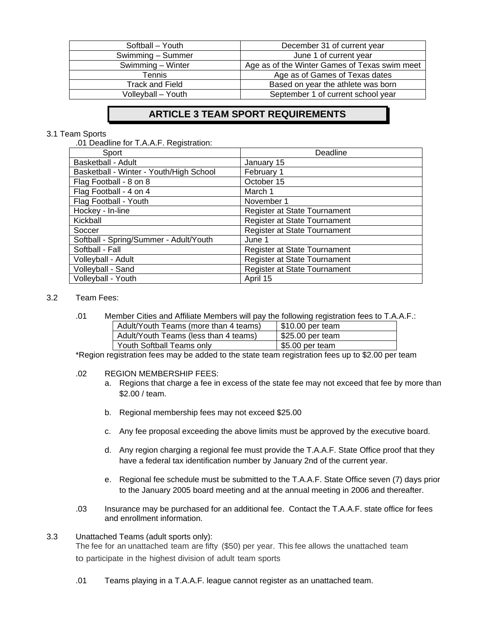| Softball - Youth       | December 31 of current year                   |
|------------------------|-----------------------------------------------|
| Swimming - Summer      | June 1 of current year                        |
| Swimming - Winter      | Age as of the Winter Games of Texas swim meet |
| Tennis                 | Age as of Games of Texas dates                |
| <b>Track and Field</b> | Based on year the athlete was born            |
| Volleyball - Youth     | September 1 of current school year            |

# **ARTICLE 3 TEAM SPORT REQUIREMENTS**

## 3.1 Team Sports

.01 Deadline for T.A.A.F. Registration:

| Sport                                   | Deadline                     |
|-----------------------------------------|------------------------------|
| <b>Basketball - Adult</b>               | January 15                   |
| Basketball - Winter - Youth/High School | February 1                   |
| Flag Football - 8 on 8                  | October 15                   |
| Flag Football - 4 on 4                  | March 1                      |
| Flag Football - Youth                   | November 1                   |
| Hockey - In-line                        | Register at State Tournament |
| Kickball                                | Register at State Tournament |
| Soccer                                  | Register at State Tournament |
| Softball - Spring/Summer - Adult/Youth  | June 1                       |
| Softball - Fall                         | Register at State Tournament |
| Volleyball - Adult                      | Register at State Tournament |
| Volleyball - Sand                       | Register at State Tournament |
| Volleyball - Youth                      | April 15                     |

## 3.2 Team Fees:

| .01 | Member Cities and Affiliate Members will pay the following registration fees to T.A.A.F.: |                          |  |
|-----|-------------------------------------------------------------------------------------------|--------------------------|--|
|     | Adult/Youth Teams (more than 4 teams)                                                     | $\sqrt{510.00}$ per team |  |
|     | Adult/Youth Teams (less than 4 teams)                                                     | \$25.00 per team         |  |
|     | Youth Softball Teams only                                                                 | \$5.00 per team          |  |

\*Region registration fees may be added to the state team registration fees up to \$2.00 per team

#### .02 REGION MEMBERSHIP FEES:

- a. Regions that charge a fee in excess of the state fee may not exceed that fee by more than \$2.00 / team.
- b. Regional membership fees may not exceed \$25.00
- c. Any fee proposal exceeding the above limits must be approved by the executive board.
- d. Any region charging a regional fee must provide the T.A.A.F. State Office proof that they have a federal tax identification number by January 2nd of the current year.
- e. Regional fee schedule must be submitted to the T.A.A.F. State Office seven (7) days prior to the January 2005 board meeting and at the annual meeting in 2006 and thereafter.
- .03 Insurance may be purchased for an additional fee. Contact the T.A.A.F. state office for fees and enrollment information.

## 3.3 Unattached Teams (adult sports only):

The fee for an unattached team are fifty (\$50) per year. This fee allows the unattached team to participate in the highest division of adult team sports

.01 Teams playing in a T.A.A.F. league cannot register as an unattached team.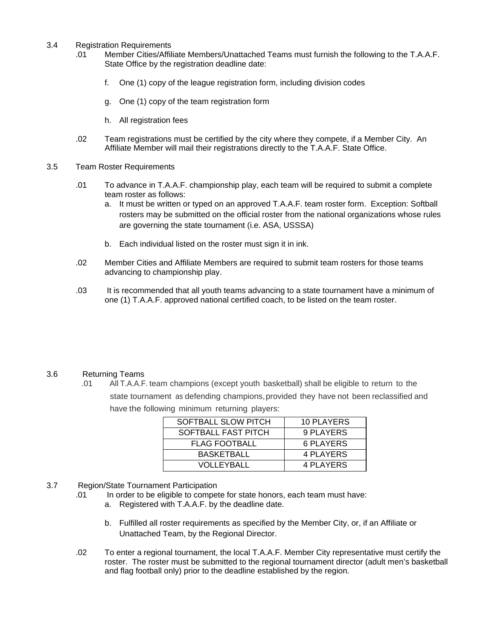- 3.4 Registration Requirements
	- .01 Member Cities/Affiliate Members/Unattached Teams must furnish the following to the T.A.A.F. State Office by the registration deadline date:
		- f. One (1) copy of the league registration form, including division codes
		- g. One (1) copy of the team registration form
		- h. All registration fees
	- .02 Team registrations must be certified by the city where they compete, if a Member City. An Affiliate Member will mail their registrations directly to the T.A.A.F. State Office.
- 3.5 Team Roster Requirements
	- .01 To advance in T.A.A.F. championship play, each team will be required to submit a complete team roster as follows:
		- a. It must be written or typed on an approved T.A.A.F. team roster form. Exception: Softball rosters may be submitted on the official roster from the national organizations whose rules are governing the state tournament (i.e. ASA, USSSA)
		- b. Each individual listed on the roster must sign it in ink.
	- .02 Member Cities and Affiliate Members are required to submit team rosters for those teams advancing to championship play.
	- .03 It is recommended that all youth teams advancing to a state tournament have a minimum of one (1) T.A.A.F. approved national certified coach, to be listed on the team roster.

## 3.6 Returning Teams

.01 All T.A.A.F. team champions (except youth basketball) shall be eligible to return to the state tournament as defending champions, provided they have not been reclassified and have the following minimum returning players:

| SOFTBALL SLOW PITCH  | 10 PLAYERS |
|----------------------|------------|
| SOFTBALL FAST PITCH  | 9 PLAYERS  |
| <b>FLAG FOOTBALL</b> | 6 PLAYERS  |
| <b>BASKETBALL</b>    | 4 PLAYERS  |
| <b>VOLLEYBALL</b>    | 4 PLAYERS  |

- 3.7 Region/State Tournament Participation
	- .01 In order to be eligible to compete for state honors, each team must have:
		- a. Registered with T.A.A.F. by the deadline date.
		- b. Fulfilled all roster requirements as specified by the Member City, or, if an Affiliate or Unattached Team, by the Regional Director.
	- .02 To enter a regional tournament, the local T.A.A.F. Member City representative must certify the roster. The roster must be submitted to the regional tournament director (adult men's basketball and flag football only) prior to the deadline established by the region.